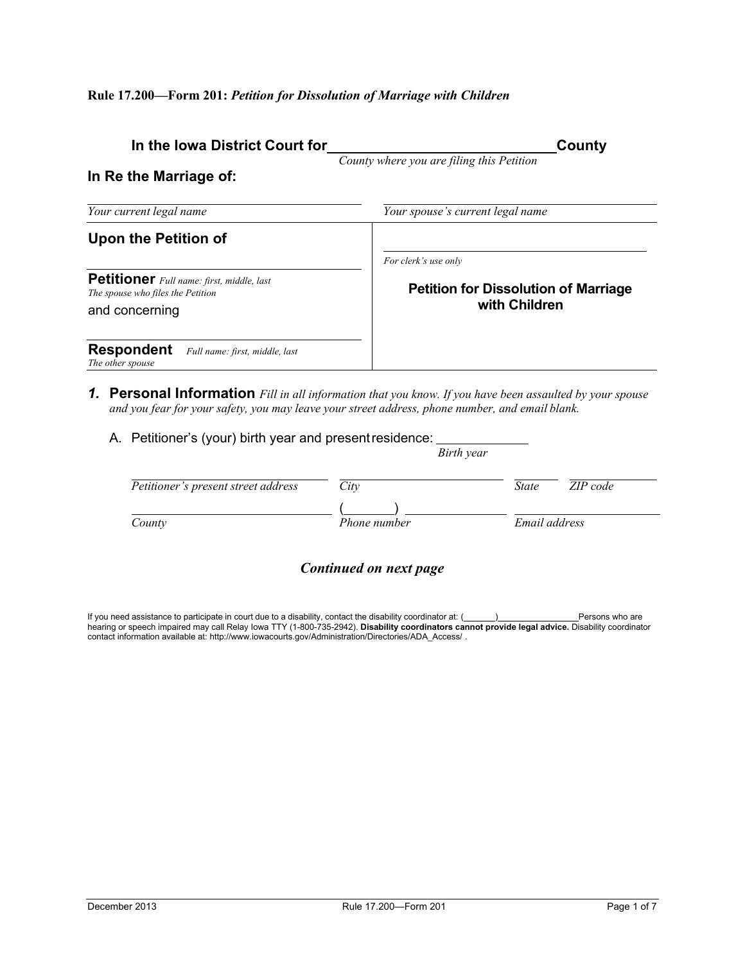| In the Iowa District Court for                                                        | County                                      |
|---------------------------------------------------------------------------------------|---------------------------------------------|
| In Re the Marriage of:                                                                | County where you are filing this Petition   |
| Your current legal name                                                               | Your spouse's current legal name            |
| Upon the Petition of                                                                  | For clerk's use only                        |
| <b>Petitioner</b> Full name: first, middle, last<br>The spouse who files the Petition | <b>Petition for Dissolution of Marriage</b> |
| and concerning                                                                        | with Children                               |
| <b>Respondent</b><br>Full name: first, middle, last<br>The other spouse               |                                             |

- *1.* **Personal Information** *Fill in all information that you know. If you have been assaulted by your spouse and you fear for your safety, you may leave your street address, phone number, and email blank.*
	- A. Petitioner's (your) birth year and presentresidence:

|                                     |              | Birth year               |
|-------------------------------------|--------------|--------------------------|
| Petitioner's present street address | City         | ZIP code<br><i>State</i> |
| County                              | Phone number | Email address            |
|                                     |              |                          |

## *Continued on next page*

If you need assistance to participate in court due to a disability, contact the disability coordinator at: ( <u>December 2001</u> Persons who are hearing or speech impaired may call Relay Iowa TTY (1-800-735-2942). **Disability coordinators cannot provide legal advice.** Disability coordinator<br>contact information available at: http://www.iowacourts.gov/Administration/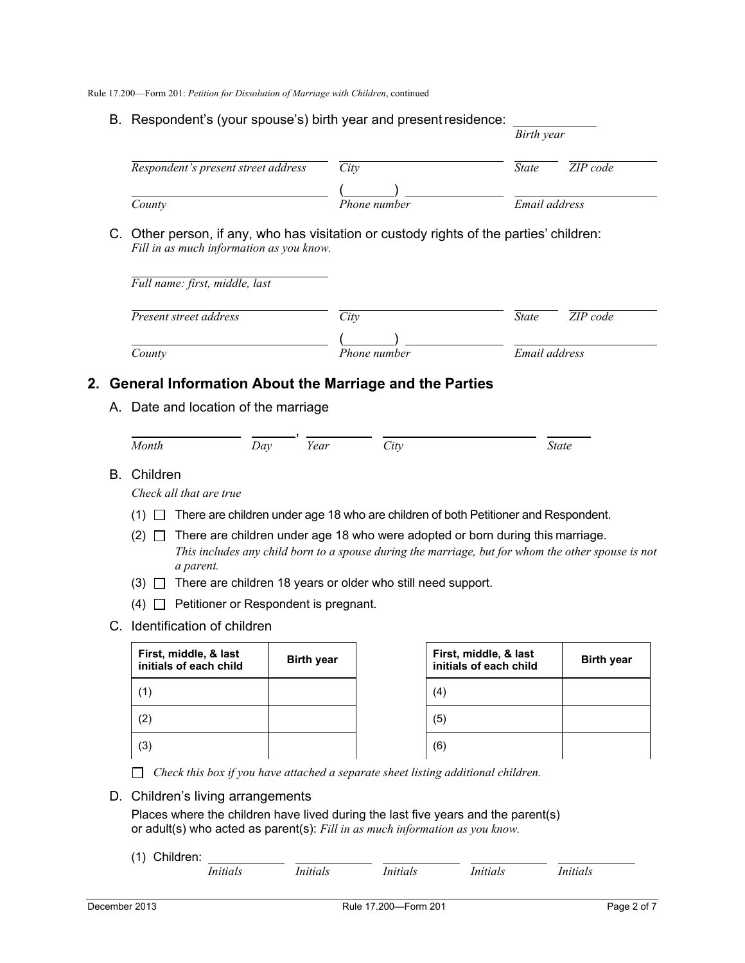B. Respondent's (your spouse's) birth year and presentresidence:

|                                                                                                                                     |              | Birth year    |          |
|-------------------------------------------------------------------------------------------------------------------------------------|--------------|---------------|----------|
| Respondent's present street address                                                                                                 | City         | <b>State</b>  | ZIP code |
| County                                                                                                                              | Phone number | Email address |          |
| C. Other person, if any, who has visitation or custody rights of the parties' children:<br>Fill in as much information as you know. |              |               |          |
| Full name: first, middle, last                                                                                                      |              |               |          |
| Present street address                                                                                                              | City         | <b>State</b>  | ZIP code |
|                                                                                                                                     |              |               |          |

## **2. General Information About the Marriage and the Parties**

A. Date and location of the marriage

| Month | $\lambda$<br>Du, | Year | $\cup$ tv | <i>State</i> |
|-------|------------------|------|-----------|--------------|

B. Children

*Check all that are true*

- (1)  $\Box$  There are children under age 18 who are children of both Petitioner and Respondent.
- $(2)$   $\Box$  There are children under age 18 who were adopted or born during this marriage. *This includes any child born to a spouse during the marriage, but for whom the other spouse is not a parent.*
- (3)  $\Box$  There are children 18 years or older who still need support.
- $(4)$   $\Box$  Petitioner or Respondent is pregnant.
- C. Identification of children

| First, middle, & last<br>initials of each child | <b>Birth year</b> | First, middle, & last<br>initials of each child | <b>Birth year</b> |
|-------------------------------------------------|-------------------|-------------------------------------------------|-------------------|
| (1)                                             |                   | (4)                                             |                   |
| (2)                                             |                   | (5)                                             |                   |
| (3)                                             |                   | (6)                                             |                   |

*Check this box if you have attached a separate sheet listing additional children.*

D. Children's living arrangements

Places where the children have lived during the last five years and the parent(s) or adult(s) who acted as parent(s): *Fill in as much information as you know.*

(1) Children:

| Initials<br>Initials | Initials | Initials | Initials |
|----------------------|----------|----------|----------|
|----------------------|----------|----------|----------|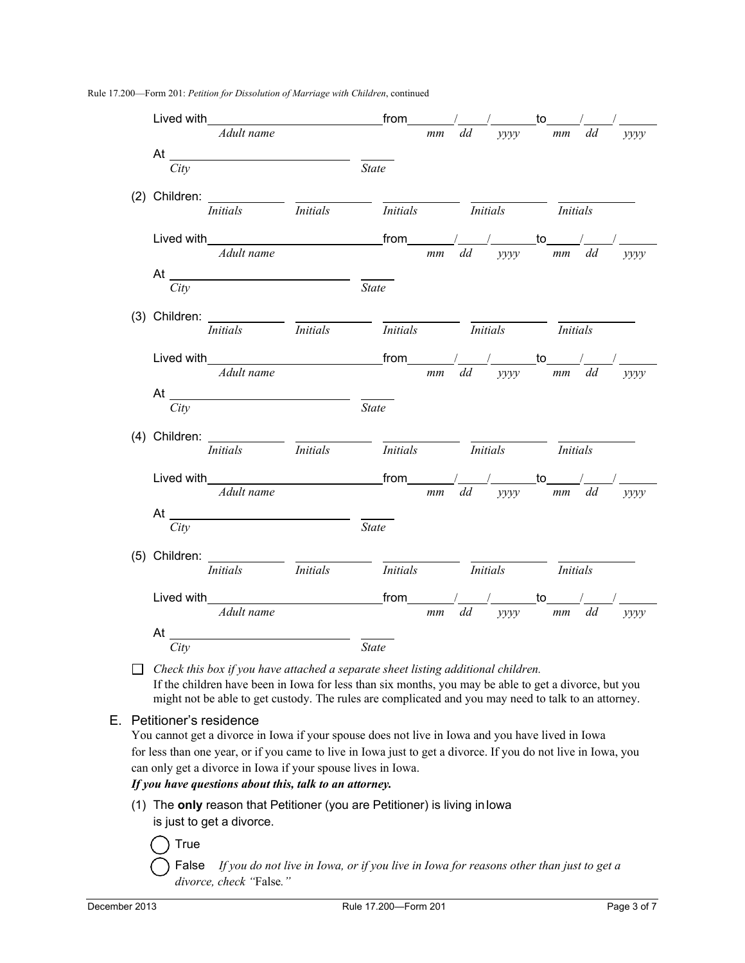| Lived with $\frac{1}{\text{A}dult name}$ from $\frac{1}{\text{mm}}\frac{1}{\text{dd}}$ $\frac{1}{\text{yyyy}}$ to $\frac{1}{\text{mm}}$ $\frac{1}{\text{dd}}$                                                                                                                                               |                                                                                                             |    |                                                      |         | yyyy        |
|-------------------------------------------------------------------------------------------------------------------------------------------------------------------------------------------------------------------------------------------------------------------------------------------------------------|-------------------------------------------------------------------------------------------------------------|----|------------------------------------------------------|---------|-------------|
|                                                                                                                                                                                                                                                                                                             |                                                                                                             |    |                                                      |         |             |
| City                                                                                                                                                                                                                                                                                                        | <b>State</b>                                                                                                |    |                                                      |         |             |
|                                                                                                                                                                                                                                                                                                             |                                                                                                             |    |                                                      |         |             |
| (2) Children: $\frac{1}{Initials}$ $\frac{1}{Initials}$                                                                                                                                                                                                                                                     |                                                                                                             |    | <i>Initials Initials Initials Initials</i>           |         |             |
|                                                                                                                                                                                                                                                                                                             |                                                                                                             |    | $\overline{\phantom{a}}$ to $\overline{\phantom{a}}$ |         |             |
| Adult name                                                                                                                                                                                                                                                                                                  |                                                                                                             | mm | yyyy<br>dd                                           | $mm$ dd | $\gamma$    |
| At $\overline{\phantom{a}}$                                                                                                                                                                                                                                                                                 |                                                                                                             |    |                                                      |         |             |
| City                                                                                                                                                                                                                                                                                                        | $\overline{State}$                                                                                          |    |                                                      |         |             |
|                                                                                                                                                                                                                                                                                                             |                                                                                                             |    |                                                      |         |             |
| (3) Children: $\frac{1}{\text{Initials}}$ $\frac{1}{\text{Initials}}$ $\frac{1}{\text{Initials}}$ $\frac{1}{\text{Initials}}$ $\frac{1}{\text{Initials}}$                                                                                                                                                   |                                                                                                             |    |                                                      |         |             |
|                                                                                                                                                                                                                                                                                                             |                                                                                                             |    |                                                      |         |             |
| Adult name                                                                                                                                                                                                                                                                                                  |                                                                                                             | mm | dd yyyy mm dd                                        |         | <i>vvvv</i> |
| At $\overline{\phantom{a_{1}^{\frac{1}{2}}$                                                                                                                                                                                                                                                                 |                                                                                                             |    |                                                      |         |             |
| City                                                                                                                                                                                                                                                                                                        | $\overline{State}$                                                                                          |    |                                                      |         |             |
|                                                                                                                                                                                                                                                                                                             |                                                                                                             |    |                                                      |         |             |
| (4) Children: $\frac{1}{T_{initials}}$ <i>Initials</i>                                                                                                                                                                                                                                                      | $\overline{\qquad}$ <i>Initials</i> $\overline{\qquad}$ <i>Initials</i> $\overline{\qquad}$ <i>Initials</i> |    |                                                      |         |             |
|                                                                                                                                                                                                                                                                                                             |                                                                                                             |    |                                                      |         |             |
| Lived with $\frac{1}{4dult name}$ from $\frac{1}{m}$ $\frac{1}{dd}$ $\frac{1}{yyyy}$ to $\frac{1}{m}$ $\frac{1}{dd}$                                                                                                                                                                                        |                                                                                                             |    |                                                      |         | <i>yyyy</i> |
|                                                                                                                                                                                                                                                                                                             |                                                                                                             |    |                                                      |         |             |
| City                                                                                                                                                                                                                                                                                                        | $\overline{State}$                                                                                          |    |                                                      |         |             |
|                                                                                                                                                                                                                                                                                                             |                                                                                                             |    |                                                      |         |             |
| (5) Children: $\frac{1}{Initials}$ $\frac{1}{Initials}$                                                                                                                                                                                                                                                     | <i>Initials Initials Initials Initials</i>                                                                  |    |                                                      |         |             |
|                                                                                                                                                                                                                                                                                                             |                                                                                                             |    |                                                      |         |             |
| Lived with $\frac{1}{\text{R}^2}$ and $\frac{1}{\text{R}^2}$ and $\frac{1}{\text{R}^2}$ and $\frac{1}{\text{R}^2}$ and $\frac{1}{\text{R}^2}$ and $\frac{1}{\text{R}^2}$ and $\frac{1}{\text{R}^2}$ and $\frac{1}{\text{R}^2}$ and $\frac{1}{\text{R}^2}$ and $\frac{1}{\text{R}^2}$ and $\frac{1}{\text{R$ |                                                                                                             |    |                                                      |         | $\gamma$    |
|                                                                                                                                                                                                                                                                                                             |                                                                                                             |    |                                                      |         |             |
| City                                                                                                                                                                                                                                                                                                        | <b>State</b>                                                                                                |    |                                                      |         |             |

*Check this box if you have attached a separate sheet listing additional children.* If the children have been in Iowa for less than six months, you may be able to get a divorce, but you might not be able to get custody. The rules are complicated and you may need to talk to an attorney.

#### E. Petitioner's residence

You cannot get a divorce in Iowa if your spouse does not live in Iowa and you have lived in Iowa for less than one year, or if you came to live in Iowa just to get a divorce. If you do not live in Iowa, you can only get a divorce in Iowa if your spouse lives in Iowa.

*If you have questions about this, talk to an attorney.*

(1) The **only** reason that Petitioner (you are Petitioner) is living inIowa is just to get a divorce.

**True** 

False *If you do not live in Iowa, or if you live in Iowa for reasons other than just to get a divorce, check "*False*."*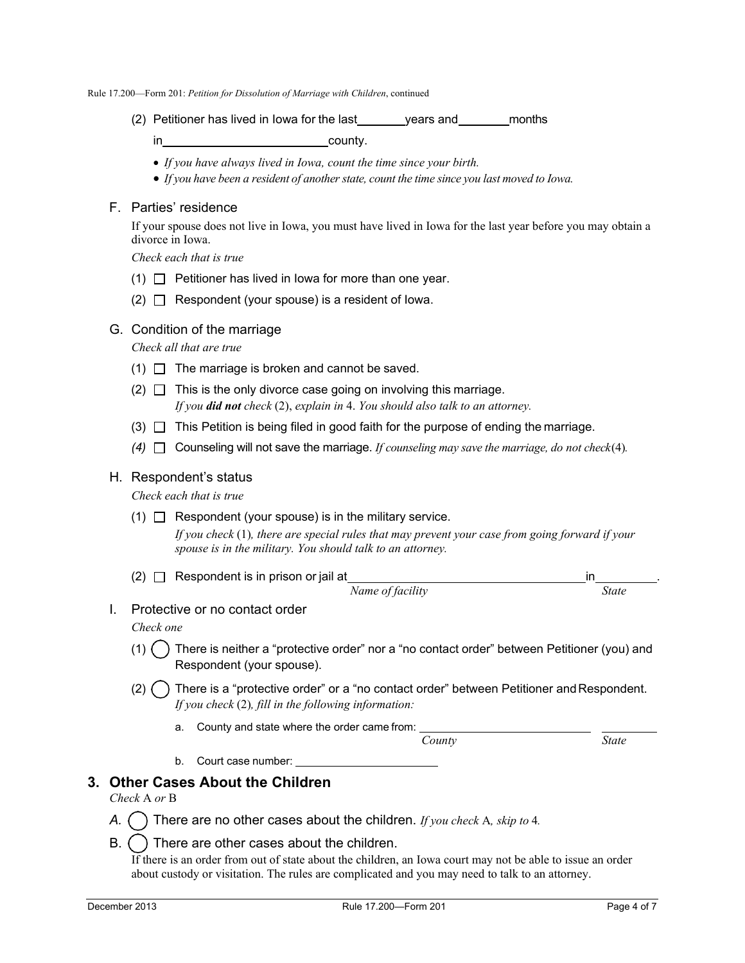(2) Petitioner has lived in Iowa for the last years and months

in county.

- *If you have always lived in Iowa, count the time since your birth.*
- *If* you have been a resident of another state, count the time since you last moved to Iowa.

### F. Parties' residence

If your spouse does not live in Iowa, you must have lived in Iowa for the last year before you may obtain a divorce in Iowa.

*Check each that is true*

- $(1)$  Petitioner has lived in lowa for more than one year.
- $(2)$   $\Box$  Respondent (your spouse) is a resident of lowa.

#### G. Condition of the marriage

*Check all that are true*

- $(1)$   $\Box$  The marriage is broken and cannot be saved.
- $(2)$   $\Box$  This is the only divorce case going on involving this marriage. *If you did not check* (2), *explain in* 4. *You should also talk to an attorney.*
- (3)  $\Box$  This Petition is being filed in good faith for the purpose of ending the marriage.
- $(4)$   $\Box$  Counseling will not save the marriage. *If counseling may save the marriage, do not check* $(4)$ *.*

#### H. Respondent's status

*Check each that is true*

(1)  $\Box$  Respondent (your spouse) is in the military service.

*If you check* (1)*, there are special rules that may prevent your case from going forward if your spouse is in the military. You should talk to an attorney.*

- (2)  $\Box$  Respondent is in prison or jail at  $\frac{Name\ of\ facility}{Name\ of\ facility}$  . State *Name of facility*
- I. Protective or no contact order

*Check one*

- There is neither a "protective order" nor a "no contact order" between Petitioner (you) and Respondent (your spouse).
- $(2)$  There is a "protective order" or a "no contact order" between Petitioner and Respondent. *If you check* (2)*, fill in the following information:*
	- a. County and state where the order came from:

*County State*

b. Court case number:

### **3. Other Cases About the Children**

- *Check* A *or* B
- *A.* There are no other cases about the children. *If you check* A*, skip to* 4*.*
- $B.$  () There are other cases about the children.

If there is an order from out of state about the children, an Iowa court may not be able to issue an order about custody or visitation. The rules are complicated and you may need to talk to an attorney.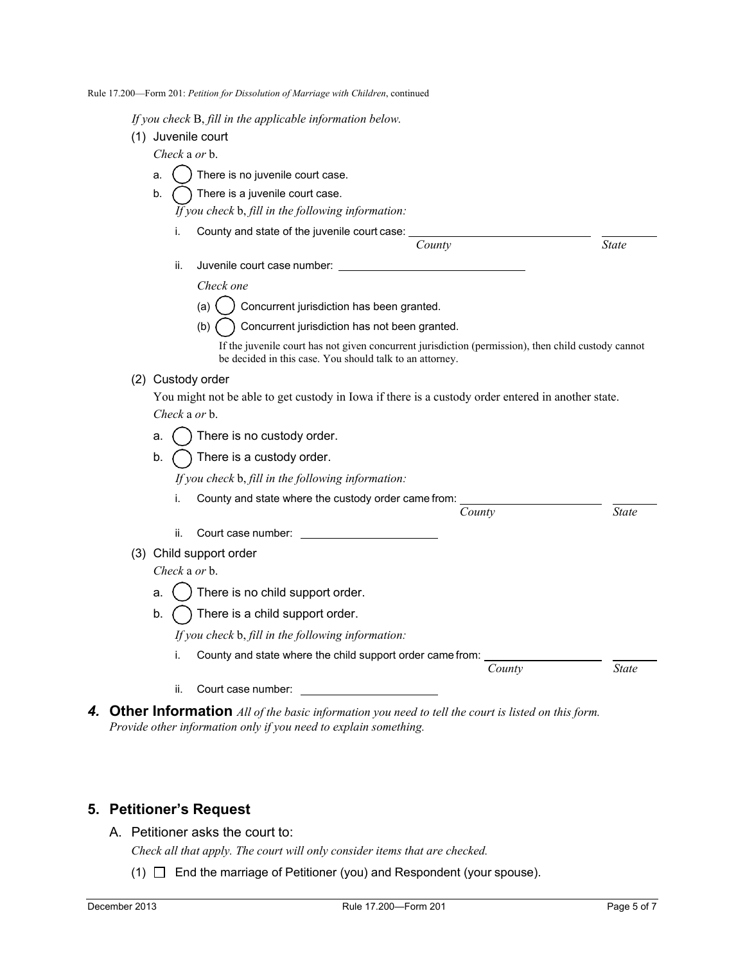|  |  |  |  |  | Rule 17.200—Form 201: Petition for Dissolution of Marriage with Children, continued |
|--|--|--|--|--|-------------------------------------------------------------------------------------|
|--|--|--|--|--|-------------------------------------------------------------------------------------|

*If you check* B, *fill in the applicable information below.*

(1) Juvenile court

*Check* a *or* b.

- a.  $( )$  There is no juvenile court case.
- b.  $\bigcap$  There is a juvenile court case. *If you check* b, *fill in the following information:*
	-
	- i. County and state of the juvenile court case: *County State*
		- ii. Juvenile court case number:

*Check one*

(a)  $\binom{1}{2}$  Concurrent jurisdiction has been granted.

(b) Concurrent jurisdiction has not been granted.

If the juvenile court has not given concurrent jurisdiction (permission), then child custody cannot be decided in this case. You should talk to an attorney.

### (2) Custody order

You might not be able to get custody in Iowa if there is a custody order entered in another state. *Check* a *or* b.

- a.  $( )$  There is no custody order.
- b.  $\bigcap$  There is a custody order.

*If you check* b, *fill in the following information:*

i. County and state where the custody order came from:

ii. Court case number:

(3) Child support order

*Check* a *or* b.

- a.  $\binom{1}{2}$  There is no child support order.
- b.  $\bigcap$  There is a child support order.

*If you check* b, *fill in the following information:*

i. County and state where the child support order came from:

*County State*

*County State*

- ii. Court case number:
- *4.* **Other Information** *All of the basic information you need to tell the court is listed on this form. Provide other information only if you need to explain something.*

## **5. Petitioner's Request**

A. Petitioner asks the court to:

*Check all that apply. The court will only consider items that are checked.*

(1)  $\Box$  End the marriage of Petitioner (you) and Respondent (your spouse).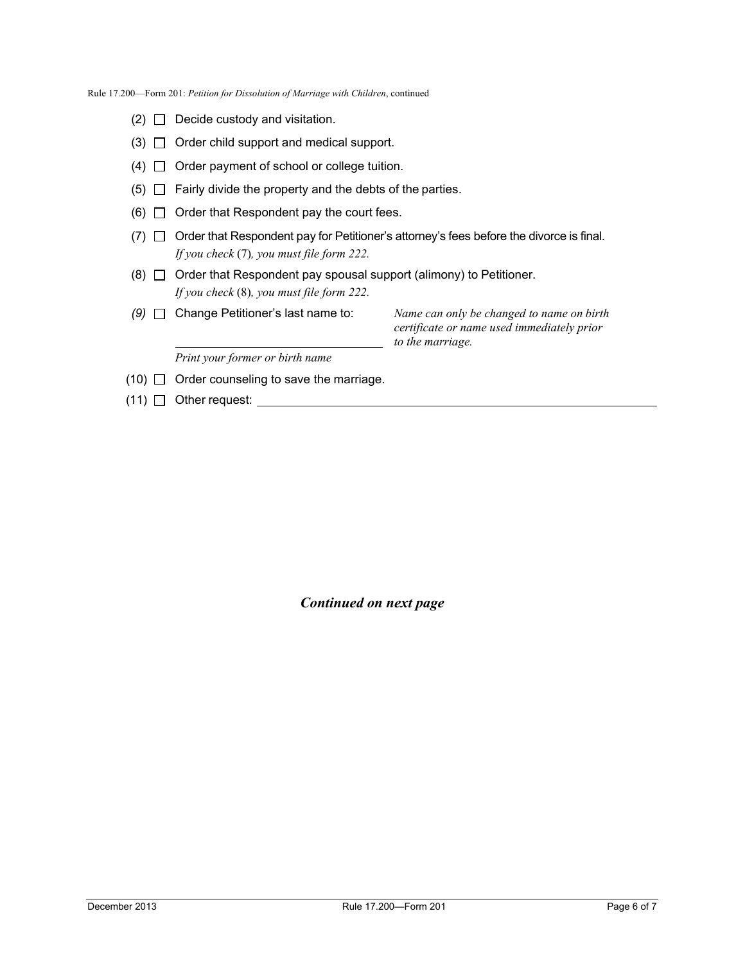- $(2)$   $\Box$  Decide custody and visitation.
- $(3)$   $\Box$  Order child support and medical support.
- $(4)$   $\Box$  Order payment of school or college tuition.
- $(5)$   $\Box$  Fairly divide the property and the debts of the parties.
- $(6)$   $\Box$  Order that Respondent pay the court fees.
- $(7)$   $\Box$  Order that Respondent pay for Petitioner's attorney's fees before the divorce is final. *If you check* (7)*, you must file form 222.*
- (8)  $\Box$  Order that Respondent pay spousal support (alimony) to Petitioner. *If you check* (8)*, you must file form 222.*
- *(9)* Change Petitioner's last name to: *Name can only be changed to name on birth*

 *to the marriage. Print your former or birth name*

*certificate or name used immediately prior*

- $(10)$   $\Box$  Order counseling to save the marriage.
- $(11)$   $\Box$  Other request:

*Continued on next page*